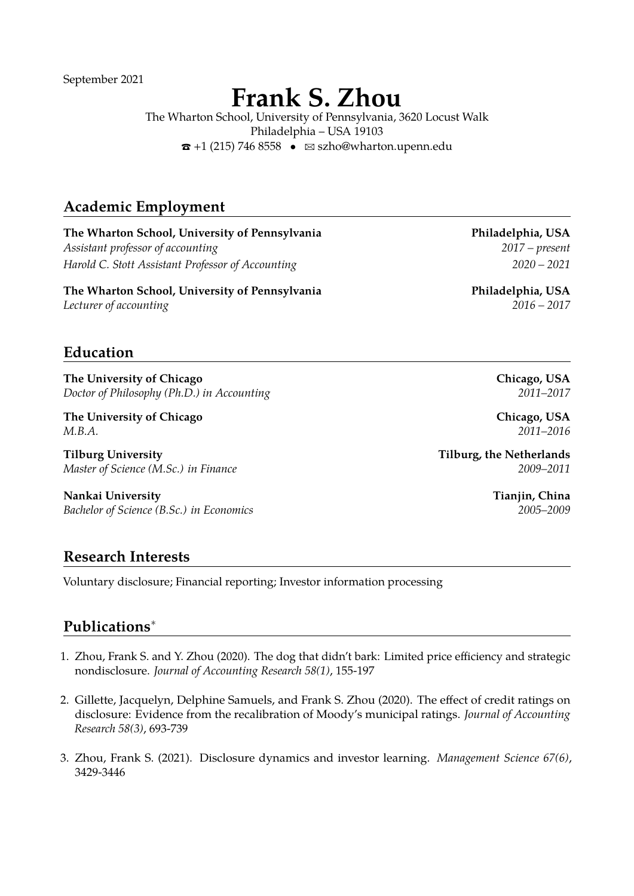September 2021

# **Frank S. Zhou**

The Wharton School, University of Pennsylvania, 3620 Locust Walk Philadelphia – USA 19103  $\hat{\mathbf{z}}$  +1 (215) 746 8558 •  $\hat{\mathbf{z}}$  [szho@wharton.upenn.edu](mailto:szho@wharton.upenn.edu)

# **Academic Employment**

**The Wharton School, University of Pennsylvania Philadelphia, USA** *Assistant professor of accounting 2017 – present Harold C. Stott Assistant Professor of Accounting 2020 – 2021*

**The Wharton School, University of Pennsylvania Philadelphia, USA** *Lecturer of accounting 2016 – 2017*

# **Education**

**The University of Chicago Chicago, USA** *Doctor of Philosophy (Ph.D.) in Accounting 2011–2017*

**The University of Chicago Chicago, USA** *M.B.A. 2011–2016*

**Tilburg University Tilburg, the Netherlands** *Master of Science (M.Sc.) in Finance 2009–2011*

**Nankai University Tianjin, China** *Bachelor of Science (B.Sc.) in Economics 2005–2009*

#### **Research Interests**

Voluntary disclosure; Financial reporting; Investor information processing

#### **Publications**<sup>∗</sup>

- 1. Zhou, Frank S. and Y. Zhou (2020). The dog that didn't bark: Limited price efficiency and strategic nondisclosure. *Journal of Accounting Research 58(1)*, 155-197
- 2. Gillette, Jacquelyn, Delphine Samuels, and Frank S. Zhou (2020). The effect of credit ratings on disclosure: Evidence from the recalibration of Moody's municipal ratings. *Journal of Accounting Research 58(3)*, 693-739
- 3. Zhou, Frank S. (2021). Disclosure dynamics and investor learning. *Management Science 67(6)*, 3429-3446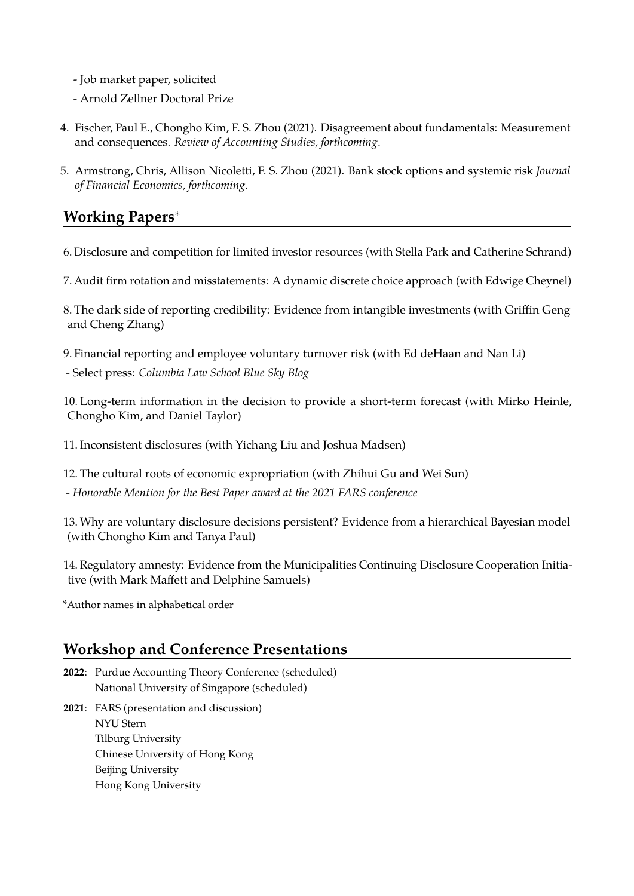- Job market paper, solicited
- Arnold Zellner Doctoral Prize
- 4. Fischer, Paul E., Chongho Kim, F. S. Zhou (2021). Disagreement about fundamentals: Measurement and consequences. *Review of Accounting Studies, forthcoming*.
- 5. Armstrong, Chris, Allison Nicoletti, F. S. Zhou (2021). Bank stock options and systemic risk *Journal of Financial Economics, forthcoming*.

# **Working Papers**<sup>∗</sup>

- 6. Disclosure and competition for limited investor resources (with Stella Park and Catherine Schrand)
- 7. Audit firm rotation and misstatements: A dynamic discrete choice approach (with Edwige Cheynel)
- 8. The dark side of reporting credibility: Evidence from intangible investments (with Griffin Geng and Cheng Zhang)
- 9. Financial reporting and employee voluntary turnover risk (with Ed deHaan and Nan Li)
- Select press: *Columbia Law School Blue Sky Blog*
- 10. Long-term information in the decision to provide a short-term forecast (with Mirko Heinle, Chongho Kim, and Daniel Taylor)
- 11. Inconsistent disclosures (with Yichang Liu and Joshua Madsen)
- 12. The cultural roots of economic expropriation (with Zhihui Gu and Wei Sun)
- *Honorable Mention for the Best Paper award at the 2021 FARS conference*
- 13. Why are voluntary disclosure decisions persistent? Evidence from a hierarchical Bayesian model (with Chongho Kim and Tanya Paul)
- 14. Regulatory amnesty: Evidence from the Municipalities Continuing Disclosure Cooperation Initiative (with Mark Maffett and Delphine Samuels)
- \*Author names in alphabetical order

# **Workshop and Conference Presentations**

- **2022**: Purdue Accounting Theory Conference (scheduled) National University of Singapore (scheduled)
- **2021**: FARS (presentation and discussion) NYU Stern Tilburg University Chinese University of Hong Kong Beijing University Hong Kong University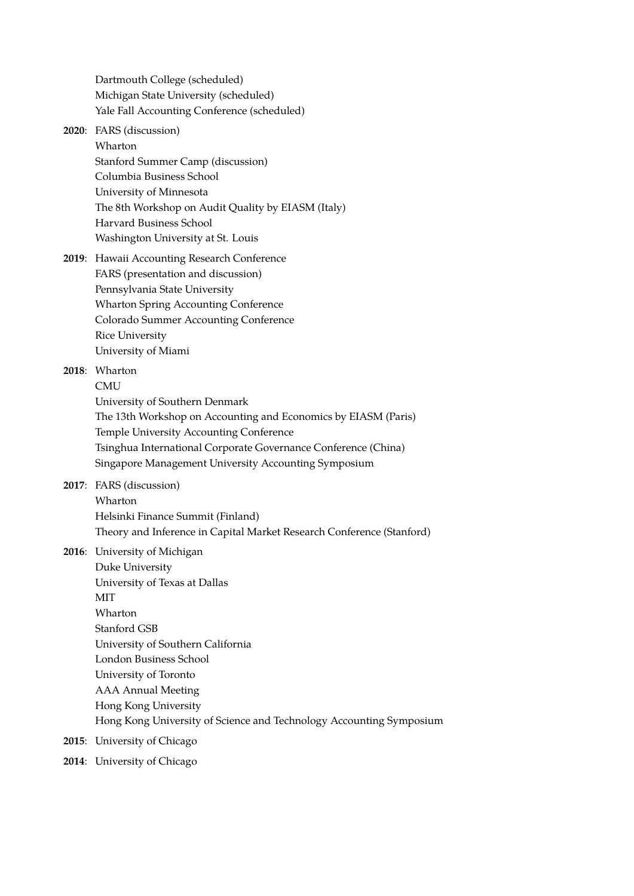Dartmouth College (scheduled) Michigan State University (scheduled) Yale Fall Accounting Conference (scheduled)

#### **2020**: FARS (discussion) Wharton Stanford Summer Camp (discussion)

Columbia Business School University of Minnesota The 8th Workshop on Audit Quality by EIASM (Italy) Harvard Business School Washington University at St. Louis

**2019**: Hawaii Accounting Research Conference FARS (presentation and discussion) Pennsylvania State University Wharton Spring Accounting Conference Colorado Summer Accounting Conference Rice University University of Miami

# **2018**: Wharton

**CMU** 

University of Southern Denmark

The 13th Workshop on Accounting and Economics by EIASM (Paris) Temple University Accounting Conference Tsinghua International Corporate Governance Conference (China)

Singapore Management University Accounting Symposium

**2017**: FARS (discussion) Wharton Helsinki Finance Summit (Finland) Theory and Inference in Capital Market Research Conference (Stanford)

**2016**: University of Michigan

Duke University University of Texas at Dallas MIT Wharton Stanford GSB University of Southern California London Business School University of Toronto AAA Annual Meeting Hong Kong University Hong Kong University of Science and Technology Accounting Symposium

- **2015**: University of Chicago
- **2014**: University of Chicago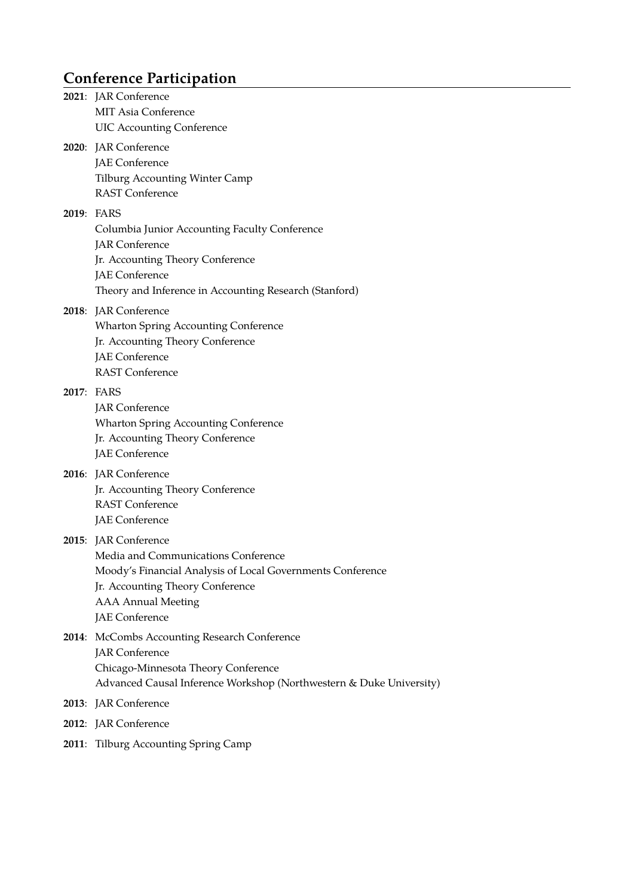# **Conference Participation**

|       | 2021: JAR Conference<br><b>MIT Asia Conference</b><br><b>UIC Accounting Conference</b>                                                                                                                       |
|-------|--------------------------------------------------------------------------------------------------------------------------------------------------------------------------------------------------------------|
|       | 2020: JAR Conference<br>JAE Conference<br><b>Tilburg Accounting Winter Camp</b><br><b>RAST Conference</b>                                                                                                    |
|       | 2019: FARS<br>Columbia Junior Accounting Faculty Conference<br><b>JAR</b> Conference<br>Jr. Accounting Theory Conference<br>JAE Conference<br>Theory and Inference in Accounting Research (Stanford)         |
|       | 2018: JAR Conference<br><b>Wharton Spring Accounting Conference</b><br>Jr. Accounting Theory Conference<br><b>JAE</b> Conference<br><b>RAST Conference</b>                                                   |
|       | 2017: FARS<br><b>JAR</b> Conference<br><b>Wharton Spring Accounting Conference</b><br>Jr. Accounting Theory Conference<br>JAE Conference                                                                     |
|       | 2016: JAR Conference<br>Jr. Accounting Theory Conference<br><b>RAST Conference</b><br>JAE Conference                                                                                                         |
|       | 2015: JAR Conference<br>Media and Communications Conference<br>Moody's Financial Analysis of Local Governments Conference<br>Jr. Accounting Theory Conference<br><b>AAA Annual Meeting</b><br>JAE Conference |
|       | 2014: McCombs Accounting Research Conference<br><b>JAR</b> Conference<br>Chicago-Minnesota Theory Conference<br>Advanced Causal Inference Workshop (Northwestern & Duke University)                          |
|       | 2013: JAR Conference                                                                                                                                                                                         |
|       | 2012: JAR Conference                                                                                                                                                                                         |
| 2011: | Tilburg Accounting Spring Camp                                                                                                                                                                               |